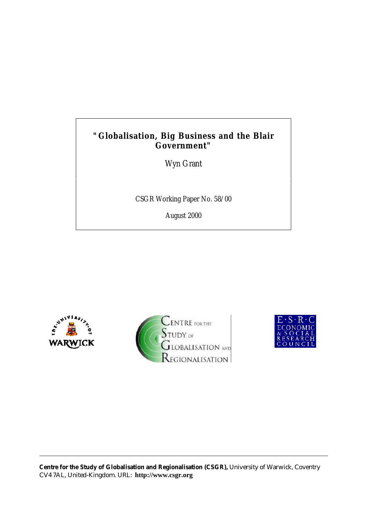# **"Globalisation, Big Business and the Blair Government"**

Wyn Grant

CSGR Working Paper No. 58/00

August 2000





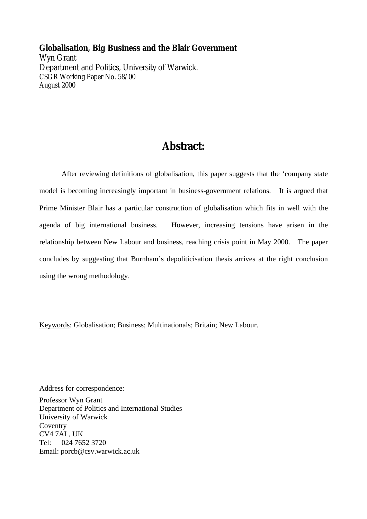**Globalisation, Big Business and the Blair Government** Wyn Grant Department and Politics, University of Warwick. CSGR Working Paper No. 58/00 August 2000

# **Abstract:**

After reviewing definitions of globalisation, this paper suggests that the 'company state model is becoming increasingly important in business-government relations. It is argued that Prime Minister Blair has a particular construction of globalisation which fits in well with the agenda of big international business. However, increasing tensions have arisen in the relationship between New Labour and business, reaching crisis point in May 2000. The paper concludes by suggesting that Burnham's depoliticisation thesis arrives at the right conclusion using the wrong methodology.

Keywords: Globalisation; Business; Multinationals; Britain; New Labour.

Address for correspondence:

Professor Wyn Grant Department of Politics and International Studies University of Warwick Coventry CV4 7AL, UK Tel: 024 7652 3720 Email: porcb@csv.warwick.ac.uk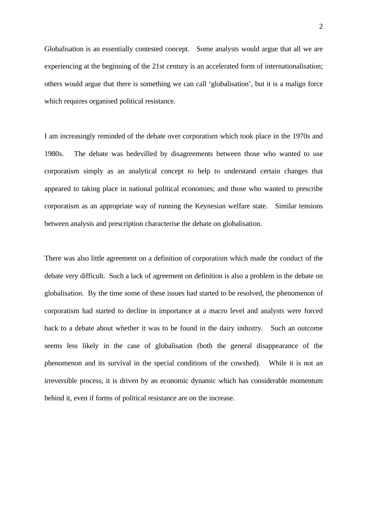Globalisation is an essentially contested concept. Some analysts would argue that all we are experiencing at the beginning of the 21st century is an accelerated form of internationalisation; others would argue that there is something we can call 'globalisation', but it is a malign force which requires organised political resistance.

I am increasingly reminded of the debate over corporatism which took place in the 1970s and 1980s. The debate was bedevilled by disagreements between those who wanted to use corporatism simply as an analytical concept to help to understand certain changes that appeared to taking place in national political economies; and those who wanted to prescribe corporatism as an appropriate way of running the Keynesian welfare state. Similar tensions between analysis and prescription characterise the debate on globalisation.

There was also little agreement on a definition of corporatism which made the conduct of the debate very difficult. Such a lack of agreement on definition is also a problem in the debate on globalisation. By the time some of these issues had started to be resolved, the phenomenon of corporatism had started to decline in importance at a macro level and analysts were forced back to a debate about whether it was to be found in the dairy industry. Such an outcome seems less likely in the case of globalisation (both the general disappearance of the phenomenon and its survival in the special conditions of the cowshed). While it is not an irreversible process, it is driven by an economic dynamic which has considerable momentum behind it, even if forms of political resistance are on the increase.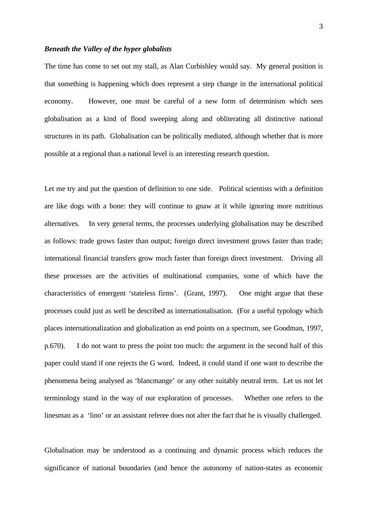# *Beneath the Valley of the hyper globalists*

The time has come to set out my stall, as Alan Curbishley would say. My general position is that something is happening which does represent a step change in the international political economy. However, one must be careful of a new form of determinism which sees globalisation as a kind of flood sweeping along and obliterating all distinctive national structures in its path. Globalisation can be politically mediated, although whether that is more possible at a regional than a national level is an interesting research question.

Let me try and put the question of definition to one side. Political scientists with a definition are like dogs with a bone: they will continue to gnaw at it while ignoring more nutritious alternatives. In very general terms, the processes underlying globalisation may be described as follows: trade grows faster than output; foreign direct investment grows faster than trade; international financial transfers grow much faster than foreign direct investment. Driving all these processes are the activities of multinational companies, some of which have the characteristics of emergent 'stateless firms'. (Grant, 1997). One might argue that these processes could just as well be described as internationalisation. (For a useful typology which places internationalization and globalization as end points on a spectrum, see Goodman, 1997, p.670). I do not want to press the point too much: the argument in the second half of this paper could stand if one rejects the G word. Indeed, it could stand if one want to describe the phenomena being analysed as 'blancmange' or any other suitably neutral term. Let us not let terminology stand in the way of our exploration of processes. Whether one refers to the linesman as a 'lino' or an assistant referee does not alter the fact that he is visually challenged.

Globalisation may be understood as a continuing and dynamic process which reduces the significance of national boundaries (and hence the autonomy of nation-states as economic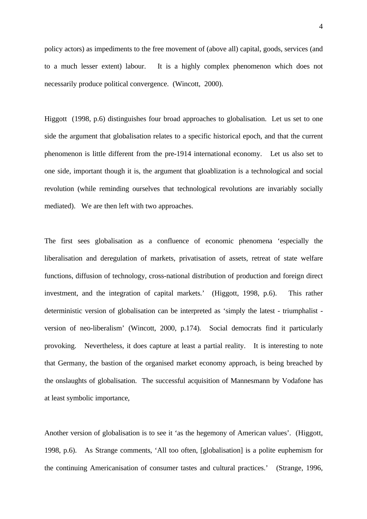policy actors) as impediments to the free movement of (above all) capital, goods, services (and to a much lesser extent) labour. It is a highly complex phenomenon which does not necessarily produce political convergence. (Wincott, 2000).

Higgott (1998, p.6) distinguishes four broad approaches to globalisation. Let us set to one side the argument that globalisation relates to a specific historical epoch, and that the current phenomenon is little different from the pre-1914 international economy. Let us also set to one side, important though it is, the argument that gloablization is a technological and social revolution (while reminding ourselves that technological revolutions are invariably socially mediated). We are then left with two approaches.

The first sees globalisation as a confluence of economic phenomena 'especially the liberalisation and deregulation of markets, privatisation of assets, retreat of state welfare functions, diffusion of technology, cross-national distribution of production and foreign direct investment, and the integration of capital markets.' (Higgott, 1998, p.6). This rather deterministic version of globalisation can be interpreted as 'simply the latest - triumphalist version of neo-liberalism' (Wincott, 2000, p.174). Social democrats find it particularly provoking. Nevertheless, it does capture at least a partial reality. It is interesting to note that Germany, the bastion of the organised market economy approach, is being breached by the onslaughts of globalisation. The successful acquisition of Mannesmann by Vodafone has at least symbolic importance,

Another version of globalisation is to see it 'as the hegemony of American values'. (Higgott, 1998, p.6). As Strange comments, 'All too often, [globalisation] is a polite euphemism for the continuing Americanisation of consumer tastes and cultural practices.' (Strange, 1996,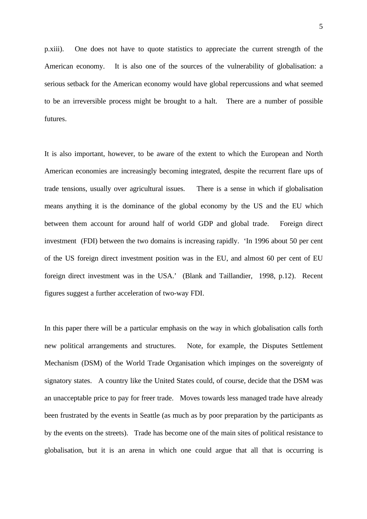p.xiii). One does not have to quote statistics to appreciate the current strength of the American economy. It is also one of the sources of the vulnerability of globalisation: a serious setback for the American economy would have global repercussions and what seemed to be an irreversible process might be brought to a halt. There are a number of possible futures.

It is also important, however, to be aware of the extent to which the European and North American economies are increasingly becoming integrated, despite the recurrent flare ups of trade tensions, usually over agricultural issues. There is a sense in which if globalisation means anything it is the dominance of the global economy by the US and the EU which between them account for around half of world GDP and global trade. Foreign direct investment (FDI) between the two domains is increasing rapidly. 'In 1996 about 50 per cent of the US foreign direct investment position was in the EU, and almost 60 per cent of EU foreign direct investment was in the USA.' (Blank and Taillandier, 1998, p.12). Recent figures suggest a further acceleration of two-way FDI.

In this paper there will be a particular emphasis on the way in which globalisation calls forth new political arrangements and structures. Note, for example, the Disputes Settlement Mechanism (DSM) of the World Trade Organisation which impinges on the sovereignty of signatory states. A country like the United States could, of course, decide that the DSM was an unacceptable price to pay for freer trade. Moves towards less managed trade have already been frustrated by the events in Seattle (as much as by poor preparation by the participants as by the events on the streets). Trade has become one of the main sites of political resistance to globalisation, but it is an arena in which one could argue that all that is occurring is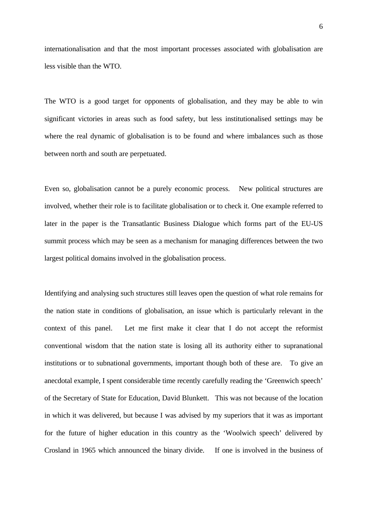internationalisation and that the most important processes associated with globalisation are less visible than the WTO.

The WTO is a good target for opponents of globalisation, and they may be able to win significant victories in areas such as food safety, but less institutionalised settings may be where the real dynamic of globalisation is to be found and where imbalances such as those between north and south are perpetuated.

Even so, globalisation cannot be a purely economic process. New political structures are involved, whether their role is to facilitate globalisation or to check it. One example referred to later in the paper is the Transatlantic Business Dialogue which forms part of the EU-US summit process which may be seen as a mechanism for managing differences between the two largest political domains involved in the globalisation process.

Identifying and analysing such structures still leaves open the question of what role remains for the nation state in conditions of globalisation, an issue which is particularly relevant in the context of this panel. Let me first make it clear that I do not accept the reformist conventional wisdom that the nation state is losing all its authority either to supranational institutions or to subnational governments, important though both of these are. To give an anecdotal example, I spent considerable time recently carefully reading the 'Greenwich speech' of the Secretary of State for Education, David Blunkett. This was not because of the location in which it was delivered, but because I was advised by my superiors that it was as important for the future of higher education in this country as the 'Woolwich speech' delivered by Crosland in 1965 which announced the binary divide. If one is involved in the business of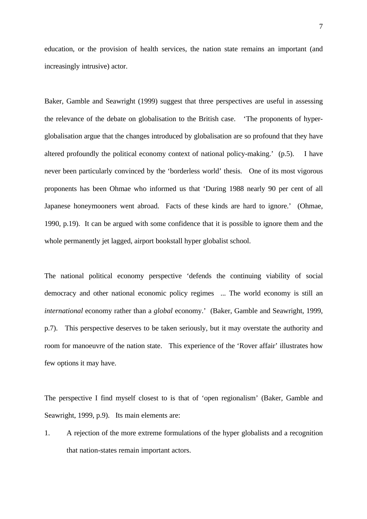education, or the provision of health services, the nation state remains an important (and increasingly intrusive) actor.

Baker, Gamble and Seawright (1999) suggest that three perspectives are useful in assessing the relevance of the debate on globalisation to the British case. 'The proponents of hyperglobalisation argue that the changes introduced by globalisation are so profound that they have altered profoundly the political economy context of national policy-making.' (p.5). I have never been particularly convinced by the 'borderless world' thesis. One of its most vigorous proponents has been Ohmae who informed us that 'During 1988 nearly 90 per cent of all Japanese honeymooners went abroad. Facts of these kinds are hard to ignore.' (Ohmae, 1990, p.19). It can be argued with some confidence that it is possible to ignore them and the whole permanently jet lagged, airport bookstall hyper globalist school.

The national political economy perspective 'defends the continuing viability of social democracy and other national economic policy regimes ... The world economy is still an *international* economy rather than a *global* economy.' (Baker, Gamble and Seawright, 1999, p.7). This perspective deserves to be taken seriously, but it may overstate the authority and room for manoeuvre of the nation state. This experience of the 'Rover affair' illustrates how few options it may have.

The perspective I find myself closest to is that of 'open regionalism' (Baker, Gamble and Seawright, 1999, p.9). Its main elements are:

1. A rejection of the more extreme formulations of the hyper globalists and a recognition that nation-states remain important actors.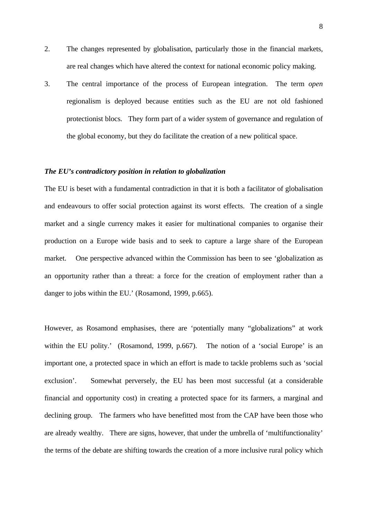- 2. The changes represented by globalisation, particularly those in the financial markets, are real changes which have altered the context for national economic policy making.
- 3. The central importance of the process of European integration. The term *open* regionalism is deployed because entities such as the EU are not old fashioned protectionist blocs. They form part of a wider system of governance and regulation of the global economy, but they do facilitate the creation of a new political space.

# *The EU's contradictory position in relation to globalization*

The EU is beset with a fundamental contradiction in that it is both a facilitator of globalisation and endeavours to offer social protection against its worst effects. The creation of a single market and a single currency makes it easier for multinational companies to organise their production on a Europe wide basis and to seek to capture a large share of the European market. One perspective advanced within the Commission has been to see 'globalization as an opportunity rather than a threat: a force for the creation of employment rather than a danger to jobs within the EU.' (Rosamond, 1999, p.665).

However, as Rosamond emphasises, there are 'potentially many "globalizations" at work within the EU polity.' (Rosamond, 1999, p.667). The notion of a 'social Europe' is an important one, a protected space in which an effort is made to tackle problems such as 'social exclusion'. Somewhat perversely, the EU has been most successful (at a considerable financial and opportunity cost) in creating a protected space for its farmers, a marginal and declining group. The farmers who have benefitted most from the CAP have been those who are already wealthy. There are signs, however, that under the umbrella of 'multifunctionality' the terms of the debate are shifting towards the creation of a more inclusive rural policy which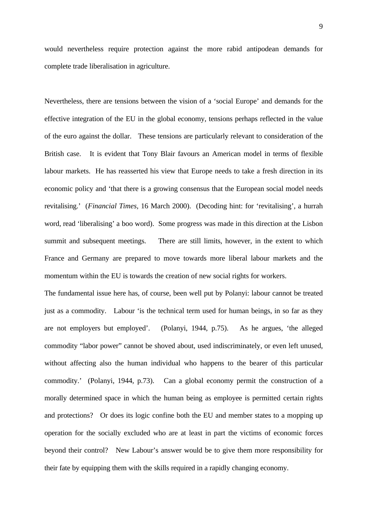would nevertheless require protection against the more rabid antipodean demands for complete trade liberalisation in agriculture.

Nevertheless, there are tensions between the vision of a 'social Europe' and demands for the effective integration of the EU in the global economy, tensions perhaps reflected in the value of the euro against the dollar. These tensions are particularly relevant to consideration of the British case. It is evident that Tony Blair favours an American model in terms of flexible labour markets. He has reasserted his view that Europe needs to take a fresh direction in its economic policy and 'that there is a growing consensus that the European social model needs revitalising.' (*Financial Times,* 16 March 2000). (Decoding hint: for 'revitalising', a hurrah word, read 'liberalising' a boo word). Some progress was made in this direction at the Lisbon summit and subsequent meetings. There are still limits, however, in the extent to which France and Germany are prepared to move towards more liberal labour markets and the momentum within the EU is towards the creation of new social rights for workers.

The fundamental issue here has, of course, been well put by Polanyi: labour cannot be treated just as a commodity. Labour 'is the technical term used for human beings, in so far as they are not employers but employed'. (Polanyi, 1944, p.75). As he argues, 'the alleged commodity "labor power" cannot be shoved about, used indiscriminately, or even left unused, without affecting also the human individual who happens to the bearer of this particular commodity.' (Polanyi, 1944, p.73). Can a global economy permit the construction of a morally determined space in which the human being as employee is permitted certain rights and protections? Or does its logic confine both the EU and member states to a mopping up operation for the socially excluded who are at least in part the victims of economic forces beyond their control? New Labour's answer would be to give them more responsibility for their fate by equipping them with the skills required in a rapidly changing economy.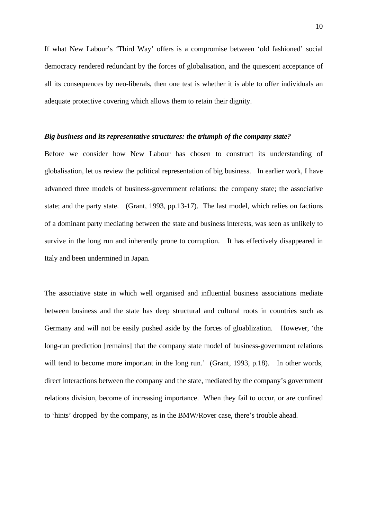If what New Labour's 'Third Way' offers is a compromise between 'old fashioned' social democracy rendered redundant by the forces of globalisation, and the quiescent acceptance of all its consequences by neo-liberals, then one test is whether it is able to offer individuals an adequate protective covering which allows them to retain their dignity.

### *Big business and its representative structures: the triumph of the company state?*

Before we consider how New Labour has chosen to construct its understanding of globalisation, let us review the political representation of big business. In earlier work, I have advanced three models of business-government relations: the company state; the associative state; and the party state. (Grant, 1993, pp.13-17). The last model, which relies on factions of a dominant party mediating between the state and business interests, was seen as unlikely to survive in the long run and inherently prone to corruption. It has effectively disappeared in Italy and been undermined in Japan.

The associative state in which well organised and influential business associations mediate between business and the state has deep structural and cultural roots in countries such as Germany and will not be easily pushed aside by the forces of gloablization. However, 'the long-run prediction [remains] that the company state model of business-government relations will tend to become more important in the long run.' (Grant, 1993, p.18). In other words, direct interactions between the company and the state, mediated by the company's government relations division, become of increasing importance. When they fail to occur, or are confined to 'hints' dropped by the company, as in the BMW/Rover case, there's trouble ahead.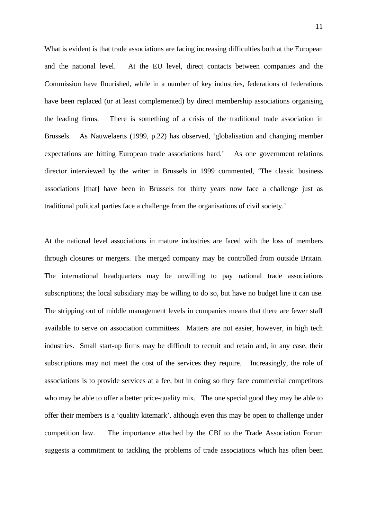What is evident is that trade associations are facing increasing difficulties both at the European and the national level. At the EU level, direct contacts between companies and the Commission have flourished, while in a number of key industries, federations of federations have been replaced (or at least complemented) by direct membership associations organising the leading firms. There is something of a crisis of the traditional trade association in Brussels. As Nauwelaerts (1999, p.22) has observed, 'globalisation and changing member expectations are hitting European trade associations hard.' As one government relations director interviewed by the writer in Brussels in 1999 commented, 'The classic business associations [that] have been in Brussels for thirty years now face a challenge just as traditional political parties face a challenge from the organisations of civil society.'

At the national level associations in mature industries are faced with the loss of members through closures or mergers. The merged company may be controlled from outside Britain. The international headquarters may be unwilling to pay national trade associations subscriptions; the local subsidiary may be willing to do so, but have no budget line it can use. The stripping out of middle management levels in companies means that there are fewer staff available to serve on association committees. Matters are not easier, however, in high tech industries. Small start-up firms may be difficult to recruit and retain and, in any case, their subscriptions may not meet the cost of the services they require. Increasingly, the role of associations is to provide services at a fee, but in doing so they face commercial competitors who may be able to offer a better price-quality mix. The one special good they may be able to offer their members is a 'quality kitemark', although even this may be open to challenge under competition law. The importance attached by the CBI to the Trade Association Forum suggests a commitment to tackling the problems of trade associations which has often been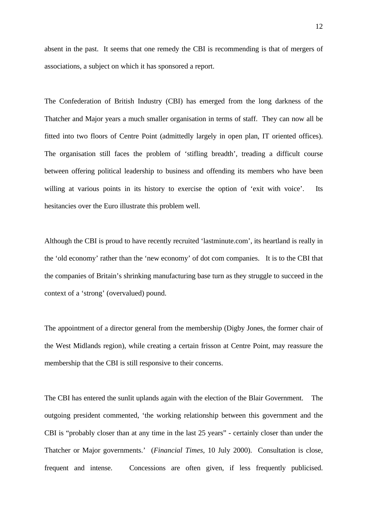absent in the past. It seems that one remedy the CBI is recommending is that of mergers of associations, a subject on which it has sponsored a report.

The Confederation of British Industry (CBI) has emerged from the long darkness of the Thatcher and Major years a much smaller organisation in terms of staff. They can now all be fitted into two floors of Centre Point (admittedly largely in open plan, IT oriented offices). The organisation still faces the problem of 'stifling breadth', treading a difficult course between offering political leadership to business and offending its members who have been willing at various points in its history to exercise the option of 'exit with voice'. Its hesitancies over the Euro illustrate this problem well.

Although the CBI is proud to have recently recruited 'lastminute.com', its heartland is really in the 'old economy' rather than the 'new economy' of dot com companies. It is to the CBI that the companies of Britain's shrinking manufacturing base turn as they struggle to succeed in the context of a 'strong' (overvalued) pound.

The appointment of a director general from the membership (Digby Jones, the former chair of the West Midlands region), while creating a certain frisson at Centre Point, may reassure the membership that the CBI is still responsive to their concerns.

The CBI has entered the sunlit uplands again with the election of the Blair Government. The outgoing president commented, 'the working relationship between this government and the CBI is "probably closer than at any time in the last 25 years" - certainly closer than under the Thatcher or Major governments.' (*Financial Times,* 10 July 2000). Consultation is close, frequent and intense. Concessions are often given, if less frequently publicised.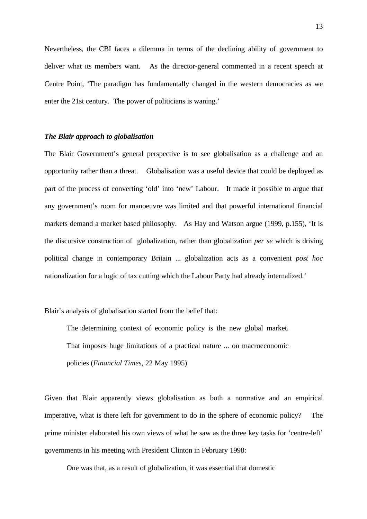Nevertheless, the CBI faces a dilemma in terms of the declining ability of government to deliver what its members want. As the director-general commented in a recent speech at Centre Point, 'The paradigm has fundamentally changed in the western democracies as we enter the 21st century. The power of politicians is waning.'

#### *The Blair approach to globalisation*

The Blair Government's general perspective is to see globalisation as a challenge and an opportunity rather than a threat. Globalisation was a useful device that could be deployed as part of the process of converting 'old' into 'new' Labour. It made it possible to argue that any government's room for manoeuvre was limited and that powerful international financial markets demand a market based philosophy. As Hay and Watson argue (1999, p.155), 'It is the discursive construction of globalization, rather than globalization *per se* which is driving political change in contemporary Britain ... globalization acts as a convenient *post hoc* rationalization for a logic of tax cutting which the Labour Party had already internalized.'

Blair's analysis of globalisation started from the belief that:

The determining context of economic policy is the new global market. That imposes huge limitations of a practical nature ... on macroeconomic policies (*Financial Times,* 22 May 1995)

Given that Blair apparently views globalisation as both a normative and an empirical imperative, what is there left for government to do in the sphere of economic policy? The prime minister elaborated his own views of what he saw as the three key tasks for 'centre-left' governments in his meeting with President Clinton in February 1998:

One was that, as a result of globalization, it was essential that domestic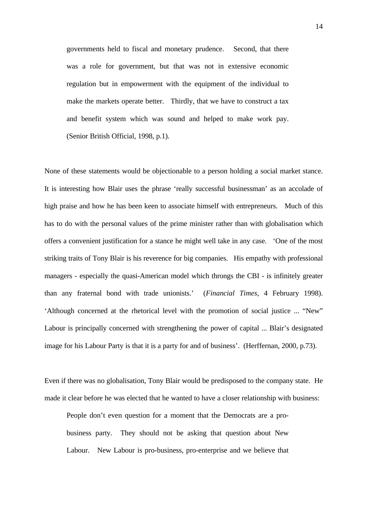governments held to fiscal and monetary prudence. Second, that there was a role for government, but that was not in extensive economic regulation but in empowerment with the equipment of the individual to make the markets operate better. Thirdly, that we have to construct a tax and benefit system which was sound and helped to make work pay. (Senior British Official, 1998, p.1).

None of these statements would be objectionable to a person holding a social market stance. It is interesting how Blair uses the phrase 'really successful businessman' as an accolade of high praise and how he has been keen to associate himself with entrepreneurs. Much of this has to do with the personal values of the prime minister rather than with globalisation which offers a convenient justification for a stance he might well take in any case. 'One of the most striking traits of Tony Blair is his reverence for big companies. His empathy with professional managers - especially the quasi-American model which throngs the CBI - is infinitely greater than any fraternal bond with trade unionists.' (*Financial Times,* 4 February 1998). 'Although concerned at the rhetorical level with the promotion of social justice ... "New" Labour is principally concerned with strengthening the power of capital ... Blair's designated image for his Labour Party is that it is a party for and of business'. (Herffernan, 2000, p.73).

Even if there was no globalisation, Tony Blair would be predisposed to the company state. He made it clear before he was elected that he wanted to have a closer relationship with business:

People don't even question for a moment that the Democrats are a probusiness party. They should not be asking that question about New Labour. New Labour is pro-business, pro-enterprise and we believe that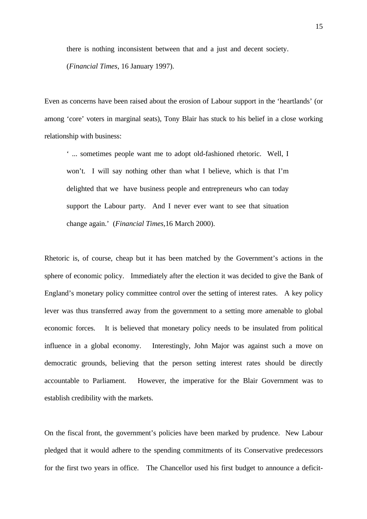there is nothing inconsistent between that and a just and decent society.

(*Financial Times,* 16 January 1997).

Even as concerns have been raised about the erosion of Labour support in the 'heartlands' (or among 'core' voters in marginal seats), Tony Blair has stuck to his belief in a close working relationship with business:

' ... sometimes people want me to adopt old-fashioned rhetoric. Well, I won't. I will say nothing other than what I believe, which is that I'm delighted that we have business people and entrepreneurs who can today support the Labour party. And I never ever want to see that situation change again.' (*Financial Times,*16 March 2000).

Rhetoric is, of course, cheap but it has been matched by the Government's actions in the sphere of economic policy. Immediately after the election it was decided to give the Bank of England's monetary policy committee control over the setting of interest rates. A key policy lever was thus transferred away from the government to a setting more amenable to global economic forces. It is believed that monetary policy needs to be insulated from political influence in a global economy. Interestingly, John Major was against such a move on democratic grounds, believing that the person setting interest rates should be directly accountable to Parliament. However, the imperative for the Blair Government was to establish credibility with the markets.

On the fiscal front, the government's policies have been marked by prudence. New Labour pledged that it would adhere to the spending commitments of its Conservative predecessors for the first two years in office. The Chancellor used his first budget to announce a deficit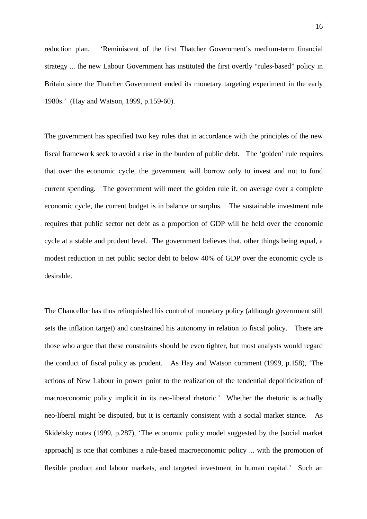reduction plan. 'Reminiscent of the first Thatcher Government's medium-term financial strategy ... the new Labour Government has instituted the first overtly "rules-based" policy in Britain since the Thatcher Government ended its monetary targeting experiment in the early 1980s.' (Hay and Watson, 1999, p.159-60).

The government has specified two key rules that in accordance with the principles of the new fiscal framework seek to avoid a rise in the burden of public debt. The 'golden' rule requires that over the economic cycle, the government will borrow only to invest and not to fund current spending. The government will meet the golden rule if, on average over a complete economic cycle, the current budget is in balance or surplus. The sustainable investment rule requires that public sector net debt as a proportion of GDP will be held over the economic cycle at a stable and prudent level. The government believes that, other things being equal, a modest reduction in net public sector debt to below 40% of GDP over the economic cycle is desirable.

The Chancellor has thus relinquished his control of monetary policy (although government still sets the inflation target) and constrained his autonomy in relation to fiscal policy. There are those who argue that these constraints should be even tighter, but most analysts would regard the conduct of fiscal policy as prudent. As Hay and Watson comment (1999, p.158), 'The actions of New Labour in power point to the realization of the tendential depoliticization of macroeconomic policy implicit in its neo-liberal rhetoric.' Whether the rhetoric is actually neo-liberal might be disputed, but it is certainly consistent with a social market stance. As Skidelsky notes (1999, p.287), 'The economic policy model suggested by the [social market approach] is one that combines a rule-based macroeconomic policy ... with the promotion of flexible product and labour markets, and targeted investment in human capital.' Such an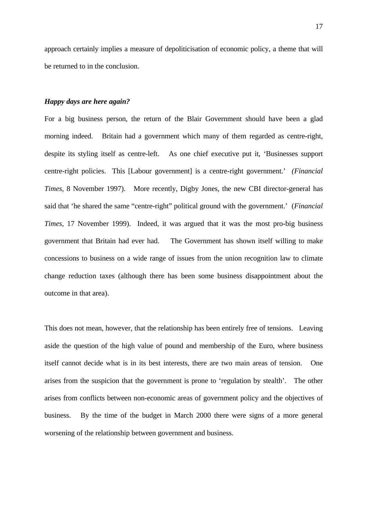approach certainly implies a measure of depoliticisation of economic policy, a theme that will be returned to in the conclusion.

# *Happy days are here again?*

For a big business person, the return of the Blair Government should have been a glad morning indeed. Britain had a government which many of them regarded as centre-right, despite its styling itself as centre-left. As one chief executive put it, 'Businesses support centre-right policies. This [Labour government] is a centre-right government.' *(Financial Times,* 8 November 1997). More recently, Digby Jones, the new CBI director-general has said that 'he shared the same "centre-right" political ground with the government.' (*Financial Times,* 17 November 1999). Indeed, it was argued that it was the most pro-big business government that Britain had ever had. The Government has shown itself willing to make concessions to business on a wide range of issues from the union recognition law to climate change reduction taxes (although there has been some business disappointment about the outcome in that area).

This does not mean, however, that the relationship has been entirely free of tensions. Leaving aside the question of the high value of pound and membership of the Euro, where business itself cannot decide what is in its best interests, there are two main areas of tension. One arises from the suspicion that the government is prone to 'regulation by stealth'. The other arises from conflicts between non-economic areas of government policy and the objectives of business. By the time of the budget in March 2000 there were signs of a more general worsening of the relationship between government and business.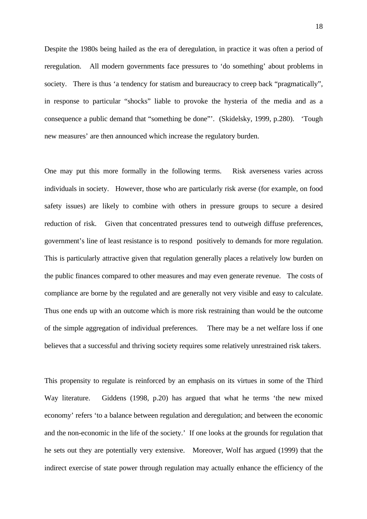Despite the 1980s being hailed as the era of deregulation, in practice it was often a period of reregulation. All modern governments face pressures to 'do something' about problems in society. There is thus 'a tendency for statism and bureaucracy to creep back "pragmatically", in response to particular "shocks" liable to provoke the hysteria of the media and as a consequence a public demand that "something be done"'. (Skidelsky, 1999, p.280). 'Tough new measures' are then announced which increase the regulatory burden.

One may put this more formally in the following terms. Risk averseness varies across individuals in society. However, those who are particularly risk averse (for example, on food safety issues) are likely to combine with others in pressure groups to secure a desired reduction of risk. Given that concentrated pressures tend to outweigh diffuse preferences, government's line of least resistance is to respond positively to demands for more regulation. This is particularly attractive given that regulation generally places a relatively low burden on the public finances compared to other measures and may even generate revenue. The costs of compliance are borne by the regulated and are generally not very visible and easy to calculate. Thus one ends up with an outcome which is more risk restraining than would be the outcome of the simple aggregation of individual preferences. There may be a net welfare loss if one believes that a successful and thriving society requires some relatively unrestrained risk takers.

This propensity to regulate is reinforced by an emphasis on its virtues in some of the Third Way literature. Giddens (1998, p.20) has argued that what he terms 'the new mixed economy' refers 'to a balance between regulation and deregulation; and between the economic and the non-economic in the life of the society.' If one looks at the grounds for regulation that he sets out they are potentially very extensive. Moreover, Wolf has argued (1999) that the indirect exercise of state power through regulation may actually enhance the efficiency of the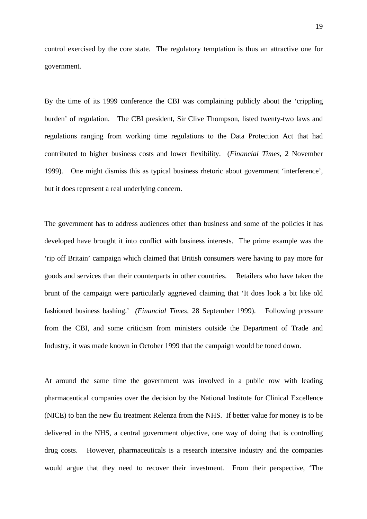control exercised by the core state. The regulatory temptation is thus an attractive one for government.

By the time of its 1999 conference the CBI was complaining publicly about the 'crippling burden' of regulation. The CBI president, Sir Clive Thompson, listed twenty-two laws and regulations ranging from working time regulations to the Data Protection Act that had contributed to higher business costs and lower flexibility. (*Financial Times,* 2 November 1999). One might dismiss this as typical business rhetoric about government 'interference', but it does represent a real underlying concern.

The government has to address audiences other than business and some of the policies it has developed have brought it into conflict with business interests. The prime example was the 'rip off Britain' campaign which claimed that British consumers were having to pay more for goods and services than their counterparts in other countries. Retailers who have taken the brunt of the campaign were particularly aggrieved claiming that 'It does look a bit like old fashioned business bashing.' *(Financial Times,* 28 September 1999). Following pressure from the CBI, and some criticism from ministers outside the Department of Trade and Industry, it was made known in October 1999 that the campaign would be toned down.

At around the same time the government was involved in a public row with leading pharmaceutical companies over the decision by the National Institute for Clinical Excellence (NICE) to ban the new flu treatment Relenza from the NHS. If better value for money is to be delivered in the NHS, a central government objective, one way of doing that is controlling drug costs. However, pharmaceuticals is a research intensive industry and the companies would argue that they need to recover their investment. From their perspective, 'The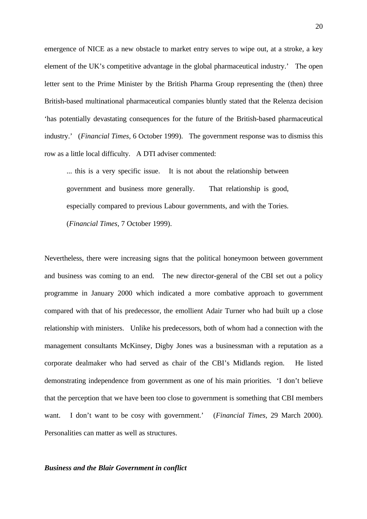emergence of NICE as a new obstacle to market entry serves to wipe out, at a stroke, a key element of the UK's competitive advantage in the global pharmaceutical industry.' The open letter sent to the Prime Minister by the British Pharma Group representing the (then) three British-based multinational pharmaceutical companies bluntly stated that the Relenza decision 'has potentially devastating consequences for the future of the British-based pharmaceutical industry.' (*Financial Times,* 6 October 1999). The government response was to dismiss this row as a little local difficulty. A DTI adviser commented:

... this is a very specific issue. It is not about the relationship between government and business more generally. That relationship is good, especially compared to previous Labour governments, and with the Tories. (*Financial Times,* 7 October 1999).

Nevertheless, there were increasing signs that the political honeymoon between government and business was coming to an end. The new director-general of the CBI set out a policy programme in January 2000 which indicated a more combative approach to government compared with that of his predecessor, the emollient Adair Turner who had built up a close relationship with ministers. Unlike his predecessors, both of whom had a connection with the management consultants McKinsey, Digby Jones was a businessman with a reputation as a corporate dealmaker who had served as chair of the CBI's Midlands region. He listed demonstrating independence from government as one of his main priorities. 'I don't believe that the perception that we have been too close to government is something that CBI members want. I don't want to be cosy with government.' (*Financial Times,* 29 March 2000). Personalities can matter as well as structures.

# *Business and the Blair Government in conflict*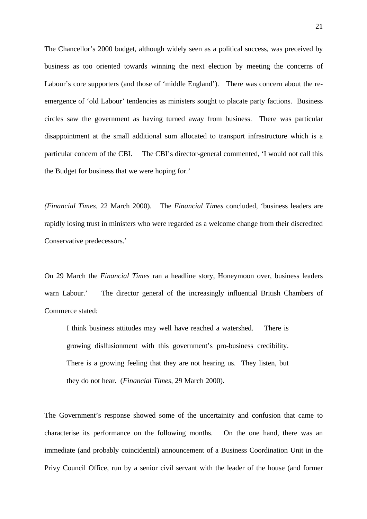The Chancellor's 2000 budget, although widely seen as a political success, was preceived by business as too oriented towards winning the next election by meeting the concerns of Labour's core supporters (and those of 'middle England'). There was concern about the reemergence of 'old Labour' tendencies as ministers sought to placate party factions. Business circles saw the government as having turned away from business. There was particular disappointment at the small additional sum allocated to transport infrastructure which is a particular concern of the CBI. The CBI's director-general commented, 'I would not call this the Budget for business that we were hoping for.'

*(Financial Times,* 22 March 2000). The *Financial Times* concluded, 'business leaders are rapidly losing trust in ministers who were regarded as a welcome change from their discredited Conservative predecessors.'

On 29 March the *Financial Times* ran a headline story, Honeymoon over, business leaders warn Labour.' The director general of the increasingly influential British Chambers of Commerce stated:

I think business attitudes may well have reached a watershed. There is growing disllusionment with this government's pro-business credibility. There is a growing feeling that they are not hearing us. They listen, but they do not hear. (*Financial Times,* 29 March 2000).

The Government's response showed some of the uncertainity and confusion that came to characterise its performance on the following months. On the one hand, there was an immediate (and probably coincidental) announcement of a Business Coordination Unit in the Privy Council Office, run by a senior civil servant with the leader of the house (and former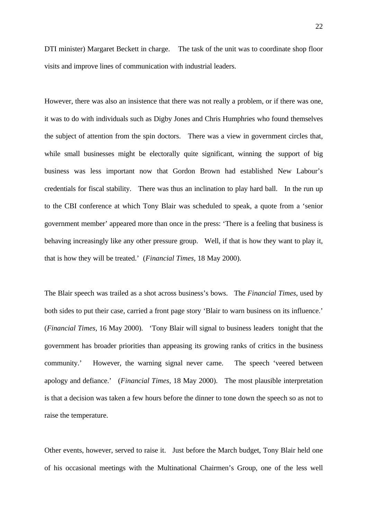DTI minister) Margaret Beckett in charge. The task of the unit was to coordinate shop floor visits and improve lines of communication with industrial leaders.

However, there was also an insistence that there was not really a problem, or if there was one, it was to do with individuals such as Digby Jones and Chris Humphries who found themselves the subject of attention from the spin doctors. There was a view in government circles that, while small businesses might be electorally quite significant, winning the support of big business was less important now that Gordon Brown had established New Labour's credentials for fiscal stability. There was thus an inclination to play hard ball. In the run up to the CBI conference at which Tony Blair was scheduled to speak, a quote from a 'senior government member' appeared more than once in the press: 'There is a feeling that business is behaving increasingly like any other pressure group. Well, if that is how they want to play it, that is how they will be treated.' (*Financial Times,* 18 May 2000).

The Blair speech was trailed as a shot across business's bows. The *Financial Times*, used by both sides to put their case, carried a front page story 'Blair to warn business on its influence.' (*Financial Times,* 16 May 2000). 'Tony Blair will signal to business leaders tonight that the government has broader priorities than appeasing its growing ranks of critics in the business community.' However, the warning signal never came. The speech 'veered between apology and defiance.' (*Financial Times,* 18 May 2000). The most plausible interpretation is that a decision was taken a few hours before the dinner to tone down the speech so as not to raise the temperature.

Other events, however, served to raise it. Just before the March budget, Tony Blair held one of his occasional meetings with the Multinational Chairmen's Group, one of the less well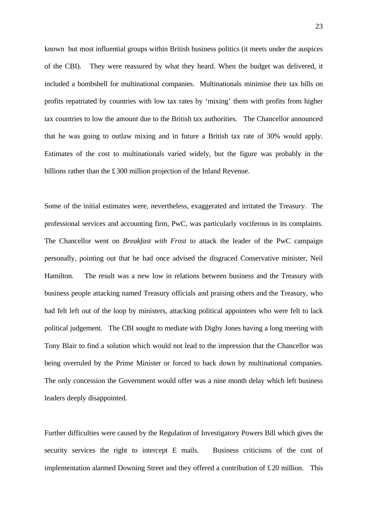known but most influential groups within British business politics (it meets under the auspices of the CBI). They were reassured by what they heard. When the budget was delivered, it included a bombshell for multinational companies. Multinationals minimise their tax bills on profits repatriated by countries with low tax rates by 'mixing' them with profits from higher tax countries to low the amount due to the British tax authorities. The Chancellor announced that he was going to outlaw mixing and in future a British tax rate of 30% would apply. Estimates of the cost to multinationals varied widely, but the figure was probably in the billions rather than the £300 million projection of the Inland Revenue.

Some of the initial estimates were, nevertheless, exaggerated and irritated the Treasury. The professional services and accounting firm, PwC, was particularly vociferous in its complaints. The Chancellor went on *Breakfast with Frost* to attack the leader of the PwC campaign personally, pointing out that he had once advised the disgraced Conservative minister, Neil Hamilton. The result was a new low in relations between business and the Treasury with business people attacking named Treasury officials and praising others and the Treasury, who had felt left out of the loop by ministers, attacking political appointees who were felt to lack political judgement. The CBI sought to mediate with Digby Jones having a long meeting with Tony Blair to find a solution which would not lead to the impression that the Chancellor was being overruled by the Prime Minister or forced to back down by multinational companies. The only concession the Government would offer was a nine month delay which left business leaders deeply disappointed.

Further difficulties were caused by the Regulation of Investigatory Powers Bill which gives the security services the right to intercept E mails. Business criticisms of the cost of implementation alarmed Downing Street and they offered a contribution of £20 million. This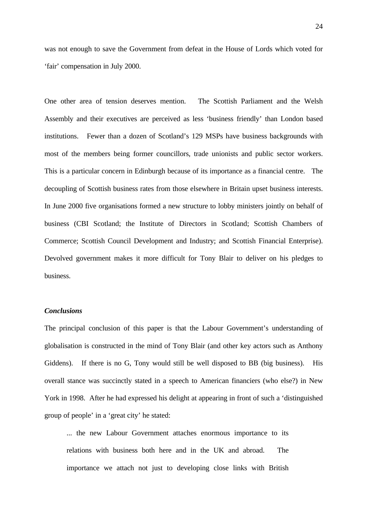was not enough to save the Government from defeat in the House of Lords which voted for 'fair' compensation in July 2000.

One other area of tension deserves mention. The Scottish Parliament and the Welsh Assembly and their executives are perceived as less 'business friendly' than London based institutions. Fewer than a dozen of Scotland's 129 MSPs have business backgrounds with most of the members being former councillors, trade unionists and public sector workers. This is a particular concern in Edinburgh because of its importance as a financial centre. The decoupling of Scottish business rates from those elsewhere in Britain upset business interests. In June 2000 five organisations formed a new structure to lobby ministers jointly on behalf of business (CBI Scotland; the Institute of Directors in Scotland; Scottish Chambers of Commerce; Scottish Council Development and Industry; and Scottish Financial Enterprise). Devolved government makes it more difficult for Tony Blair to deliver on his pledges to business.

# *Conclusions*

The principal conclusion of this paper is that the Labour Government's understanding of globalisation is constructed in the mind of Tony Blair (and other key actors such as Anthony Giddens). If there is no G, Tony would still be well disposed to BB (big business). His overall stance was succinctly stated in a speech to American financiers (who else?) in New York in 1998. After he had expressed his delight at appearing in front of such a 'distinguished group of people' in a 'great city' he stated:

... the new Labour Government attaches enormous importance to its relations with business both here and in the UK and abroad. The importance we attach not just to developing close links with British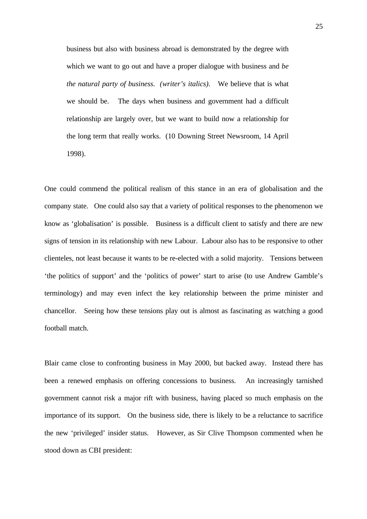business but also with business abroad is demonstrated by the degree with which we want to go out and have a proper dialogue with business and *be the natural party of business. (writer's italics).* We believe that is what we should be. The days when business and government had a difficult relationship are largely over, but we want to build now a relationship for the long term that really works. (10 Downing Street Newsroom, 14 April 1998).

One could commend the political realism of this stance in an era of globalisation and the company state. One could also say that a variety of political responses to the phenomenon we know as 'globalisation' is possible. Business is a difficult client to satisfy and there are new signs of tension in its relationship with new Labour. Labour also has to be responsive to other clienteles, not least because it wants to be re-elected with a solid majority. Tensions between 'the politics of support' and the 'politics of power' start to arise (to use Andrew Gamble's terminology) and may even infect the key relationship between the prime minister and chancellor. Seeing how these tensions play out is almost as fascinating as watching a good football match.

Blair came close to confronting business in May 2000, but backed away. Instead there has been a renewed emphasis on offering concessions to business. An increasingly tarnished government cannot risk a major rift with business, having placed so much emphasis on the importance of its support. On the business side, there is likely to be a reluctance to sacrifice the new 'privileged' insider status. However, as Sir Clive Thompson commented when he stood down as CBI president: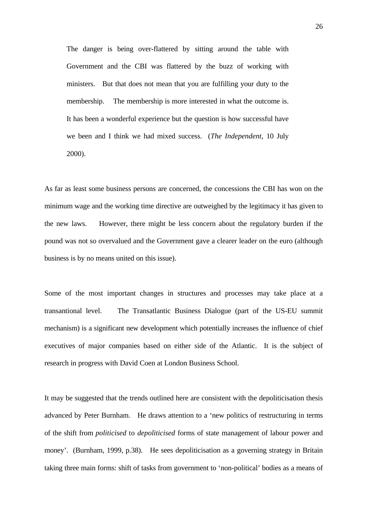The danger is being over-flattered by sitting around the table with Government and the CBI was flattered by the buzz of working with ministers. But that does not mean that you are fulfilling your duty to the membership. The membership is more interested in what the outcome is. It has been a wonderful experience but the question is how successful have we been and I think we had mixed success. (*The Independent,* 10 July 2000).

As far as least some business persons are concerned, the concessions the CBI has won on the minimum wage and the working time directive are outweighed by the legitimacy it has given to the new laws. However, there might be less concern about the regulatory burden if the pound was not so overvalued and the Government gave a clearer leader on the euro (although business is by no means united on this issue).

Some of the most important changes in structures and processes may take place at a transantional level. The Transatlantic Business Dialogue (part of the US-EU summit mechanism) is a significant new development which potentially increases the influence of chief executives of major companies based on either side of the Atlantic. It is the subject of research in progress with David Coen at London Business School.

It may be suggested that the trends outlined here are consistent with the depoliticisation thesis advanced by Peter Burnham. He draws attention to a 'new politics of restructuring in terms of the shift from *politicised* to *depoliticised* forms of state management of labour power and money'. (Burnham, 1999, p.38). He sees depoliticisation as a governing strategy in Britain taking three main forms: shift of tasks from government to 'non-political' bodies as a means of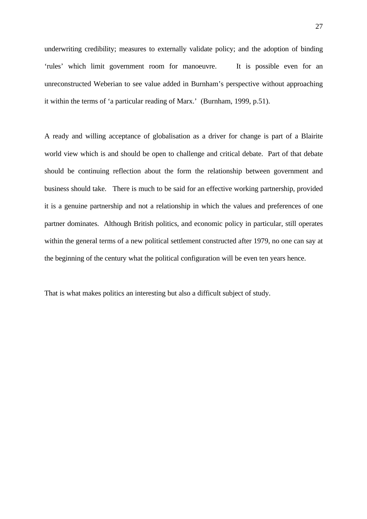underwriting credibility; measures to externally validate policy; and the adoption of binding 'rules' which limit government room for manoeuvre. It is possible even for an unreconstructed Weberian to see value added in Burnham's perspective without approaching it within the terms of 'a particular reading of Marx.' (Burnham, 1999, p.51).

A ready and willing acceptance of globalisation as a driver for change is part of a Blairite world view which is and should be open to challenge and critical debate. Part of that debate should be continuing reflection about the form the relationship between government and business should take. There is much to be said for an effective working partnership, provided it is a genuine partnership and not a relationship in which the values and preferences of one partner dominates. Although British politics, and economic policy in particular, still operates within the general terms of a new political settlement constructed after 1979, no one can say at the beginning of the century what the political configuration will be even ten years hence.

That is what makes politics an interesting but also a difficult subject of study.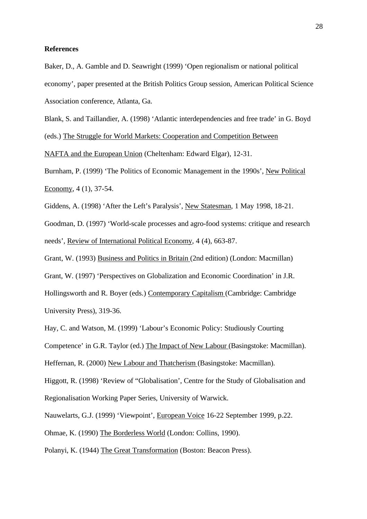### **References**

Baker, D., A. Gamble and D. Seawright (1999) 'Open regionalism or national political economy', paper presented at the British Politics Group session, American Political Science Association conference, Atlanta, Ga.

Blank, S. and Taillandier, A. (1998) 'Atlantic interdependencies and free trade' in G. Boyd (eds.) The Struggle for World Markets: Cooperation and Competition Between

NAFTA and the European Union (Cheltenham: Edward Elgar), 12-31.

Burnham, P. (1999) 'The Politics of Economic Management in the 1990s', New Political Economy, 4 (1), 37-54.

Giddens, A. (1998) 'After the Left's Paralysis', New Statesman, 1 May 1998, 18-21.

Goodman, D. (1997) 'World-scale processes and agro-food systems: critique and research needs', Review of International Political Economy, 4 (4), 663-87.

Grant, W. (1993) Business and Politics in Britain (2nd edition) (London: Macmillan)

Grant, W. (1997) 'Perspectives on Globalization and Economic Coordination' in J.R.

Hollingsworth and R. Boyer (eds.) Contemporary Capitalism (Cambridge: Cambridge University Press), 319-36.

Hay, C. and Watson, M. (1999) 'Labour's Economic Policy: Studiously Courting

Competence' in G.R. Taylor (ed.) The Impact of New Labour (Basingstoke: Macmillan).

Heffernan, R. (2000) New Labour and Thatcherism (Basingstoke: Macmillan).

Higgott, R. (1998) 'Review of "Globalisation', Centre for the Study of Globalisation and Regionalisation Working Paper Series, University of Warwick.

Nauwelarts, G.J. (1999) 'Viewpoint', European Voice 16-22 September 1999, p.22.

Ohmae, K. (1990) The Borderless World (London: Collins, 1990).

Polanyi, K. (1944) The Great Transformation (Boston: Beacon Press).